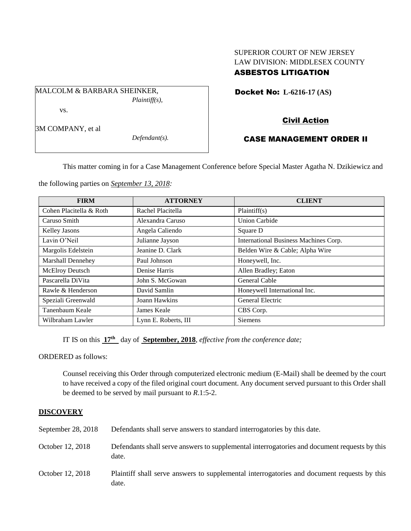# SUPERIOR COURT OF NEW JERSEY LAW DIVISION: MIDDLESEX COUNTY ASBESTOS LITIGATION

Docket No: **L-6216-17 (AS)** 

MALCOLM & BARBARA SHEINKER, *Plaintiff(s),* vs.

Civil Action

3M COMPANY, et al

*Defendant(s).*

# CASE MANAGEMENT ORDER II

This matter coming in for a Case Management Conference before Special Master Agatha N. Dzikiewicz and

the following parties on *September 13, 2018:*

| <b>FIRM</b>             | <b>ATTORNEY</b>      | <b>CLIENT</b>                         |
|-------------------------|----------------------|---------------------------------------|
| Cohen Placitella & Roth | Rachel Placitella    | Plaintiff(s)                          |
| Caruso Smith            | Alexandra Caruso     | <b>Union Carbide</b>                  |
| Kelley Jasons           | Angela Caliendo      | Square D                              |
| Lavin O'Neil            | Julianne Jayson      | International Business Machines Corp. |
| Margolis Edelstein      | Jeanine D. Clark     | Belden Wire & Cable; Alpha Wire       |
| Marshall Dennehey       | Paul Johnson         | Honeywell, Inc.                       |
| <b>McElroy Deutsch</b>  | Denise Harris        | Allen Bradley; Eaton                  |
| Pascarella DiVita       | John S. McGowan      | General Cable                         |
| Rawle & Henderson       | David Samlin         | Honeywell International Inc.          |
| Speziali Greenwald      | Joann Hawkins        | General Electric                      |
| Tanenbaum Keale         | James Keale          | CBS Corp.                             |
| Wilbraham Lawler        | Lynn E. Roberts, III | Siemens                               |

IT IS on this **17th** day of **September, 2018**, *effective from the conference date;*

ORDERED as follows:

Counsel receiving this Order through computerized electronic medium (E-Mail) shall be deemed by the court to have received a copy of the filed original court document. Any document served pursuant to this Order shall be deemed to be served by mail pursuant to *R*.1:5-2.

## **DISCOVERY**

| September 28, 2018 | Defendants shall serve answers to standard interrogatories by this date.                              |
|--------------------|-------------------------------------------------------------------------------------------------------|
| October 12, 2018   | Defendants shall serve answers to supplemental interrogatories and document requests by this<br>date. |
| October 12, 2018   | Plaintiff shall serve answers to supplemental interrogatories and document requests by this<br>date.  |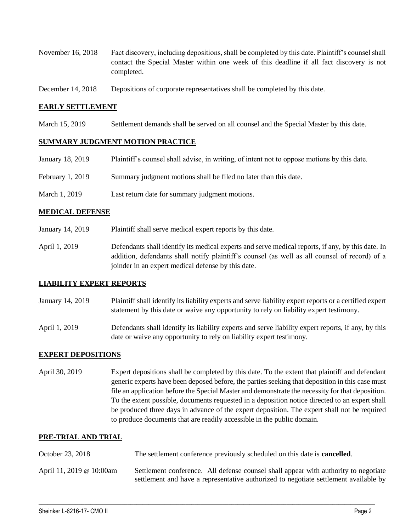- November 16, 2018 Fact discovery, including depositions, shall be completed by this date. Plaintiff's counsel shall contact the Special Master within one week of this deadline if all fact discovery is not completed.
- December 14, 2018 Depositions of corporate representatives shall be completed by this date.

## **EARLY SETTLEMENT**

March 15, 2019 Settlement demands shall be served on all counsel and the Special Master by this date.

## **SUMMARY JUDGMENT MOTION PRACTICE**

| January 18, 2019 | Plaintiff's counsel shall advise, in writing, of intent not to oppose motions by this date. |
|------------------|---------------------------------------------------------------------------------------------|
| February 1, 2019 | Summary judgment motions shall be filed no later than this date.                            |
| March 1, 2019    | Last return date for summary judgment motions.                                              |

#### **MEDICAL DEFENSE**

- January 14, 2019 Plaintiff shall serve medical expert reports by this date.
- April 1, 2019 Defendants shall identify its medical experts and serve medical reports, if any, by this date. In addition, defendants shall notify plaintiff's counsel (as well as all counsel of record) of a joinder in an expert medical defense by this date.

#### **LIABILITY EXPERT REPORTS**

- January 14, 2019 Plaintiff shall identify its liability experts and serve liability expert reports or a certified expert statement by this date or waive any opportunity to rely on liability expert testimony.
- April 1, 2019 Defendants shall identify its liability experts and serve liability expert reports, if any, by this date or waive any opportunity to rely on liability expert testimony.

## **EXPERT DEPOSITIONS**

April 30, 2019 Expert depositions shall be completed by this date. To the extent that plaintiff and defendant generic experts have been deposed before, the parties seeking that deposition in this case must file an application before the Special Master and demonstrate the necessity for that deposition. To the extent possible, documents requested in a deposition notice directed to an expert shall be produced three days in advance of the expert deposition. The expert shall not be required to produce documents that are readily accessible in the public domain.

#### **PRE-TRIAL AND TRIAL**

October 23, 2018 The settlement conference previously scheduled on this date is **cancelled**. April 11, 2019 @ 10:00am Settlement conference. All defense counsel shall appear with authority to negotiate

 $\_$  ,  $\_$  ,  $\_$  ,  $\_$  ,  $\_$  ,  $\_$  ,  $\_$  ,  $\_$  ,  $\_$  ,  $\_$  ,  $\_$  ,  $\_$  ,  $\_$  ,  $\_$  ,  $\_$  ,  $\_$  ,  $\_$  ,  $\_$  ,  $\_$  ,  $\_$  ,  $\_$  ,  $\_$  ,  $\_$  ,  $\_$  ,  $\_$  ,  $\_$  ,  $\_$  ,  $\_$  ,  $\_$  ,  $\_$  ,  $\_$  ,  $\_$  ,  $\_$  ,  $\_$  ,  $\_$  ,  $\_$  ,  $\_$  ,

settlement and have a representative authorized to negotiate settlement available by